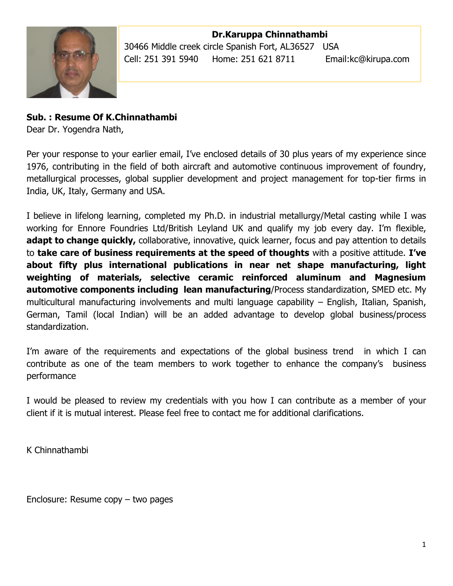

**Dr.Karuppa Chinnathambi** 30466 Middle creek circle Spanish Fort, AL36527 USA Cell: 251 391 5940 Home: 251 621 8711 Email:kc@kirupa.com

#### **Sub. : Resume Of K.Chinnathambi**

Dear Dr. Yogendra Nath,

Per your response to your earlier email, I've enclosed details of 30 plus years of my experience since 1976, contributing in the field of both aircraft and automotive continuous improvement of foundry, metallurgical processes, global supplier development and project management for top-tier firms in India, UK, Italy, Germany and USA.

I believe in lifelong learning, completed my Ph.D. in industrial metallurgy/Metal casting while I was working for Ennore Foundries Ltd/British Leyland UK and qualify my job every day. I'm flexible, **adapt to change quickly,** collaborative, innovative, quick learner, focus and pay attention to details to **take care of business requirements at the speed of thoughts** with a positive attitude. **I've about fifty plus international publications in near net shape manufacturing, light weighting of materials, selective ceramic reinforced aluminum and Magnesium automotive components including lean manufacturing**/Process standardization, SMED etc. My multicultural manufacturing involvements and multi language capability – English, Italian, Spanish, German, Tamil (local Indian) will be an added advantage to develop global business/process standardization.

I'm aware of the requirements and expectations of the global business trend in which I can contribute as one of the team members to work together to enhance the company's business performance

I would be pleased to review my credentials with you how I can contribute as a member of your client if it is mutual interest. Please feel free to contact me for additional clarifications.

K Chinnathambi

Enclosure: Resume copy – two pages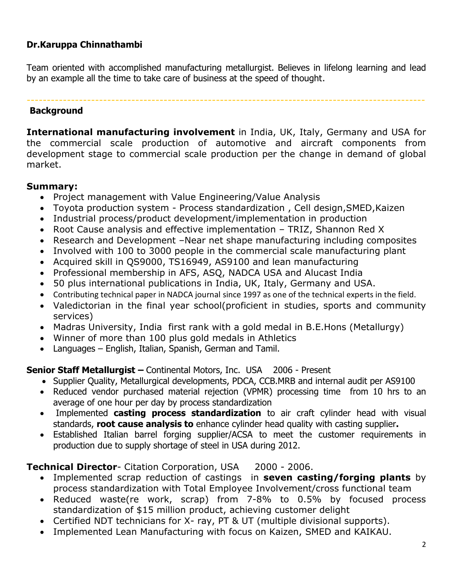### **Dr.Karuppa Chinnathambi**

Team oriented with accomplished manufacturing metallurgist. Believes in lifelong learning and lead by an example all the time to take care of business at the speed of thought.

#### --------------------------------------------------------------------------------------------------- **Background**

**International manufacturing involvement** in India, UK, Italy, Germany and USA for the commercial scale production of automotive and aircraft components from development stage to commercial scale production per the change in demand of global market.

#### **Summary:**

- Project management with Value Engineering/Value Analysis
- Toyota production system Process standardization , Cell design,SMED,Kaizen
- Industrial process/product development/implementation in production
- Root Cause analysis and effective implementation TRIZ, Shannon Red X
- Research and Development –Near net shape manufacturing including composites
- Involved with 100 to 3000 people in the commercial scale manufacturing plant
- Acquired skill in QS9000, TS16949, AS9100 and lean manufacturing
- Professional membership in AFS, ASQ, NADCA USA and Alucast India
- 50 plus international publications in India, UK, Italy, Germany and USA.
- Contributing technical paper in NADCA journal since 1997 as one of the technical experts in the field.
- Valedictorian in the final year school(proficient in studies, sports and community services)
- Madras University, India first rank with a gold medal in B.E.Hons (Metallurgy)
- Winner of more than 100 plus gold medals in Athletics
- Languages English, Italian, Spanish, German and Tamil.

### **Senior Staff Metallurgist –** Continental Motors, Inc. USA 2006 - Present

- Supplier Quality, Metallurgical developments, PDCA, CCB.MRB and internal audit per AS9100
- Reduced vendor purchased material rejection (VPMR) processing time from 10 hrs to an average of one hour per day by process standardization
- Implemented **casting process standardization** to air craft cylinder head with visual standards, **root cause analysis to** enhance cylinder head quality with casting supplier**.**
- Established Italian barrel forging supplier/ACSA to meet the customer requirements in production due to supply shortage of steel in USA during 2012.

### **Technical Director-** Citation Corporation, USA 2000 - 2006.

- Implemented scrap reduction of castings in **seven casting/forging plants** by process standardization with Total Employee Involvement/cross functional team
- Reduced waste(re work, scrap) from 7-8% to 0.5% by focused process standardization of \$15 million product, achieving customer delight
- Certified NDT technicians for X- ray, PT & UT (multiple divisional supports).
- Implemented Lean Manufacturing with focus on Kaizen, SMED and KAIKAU.